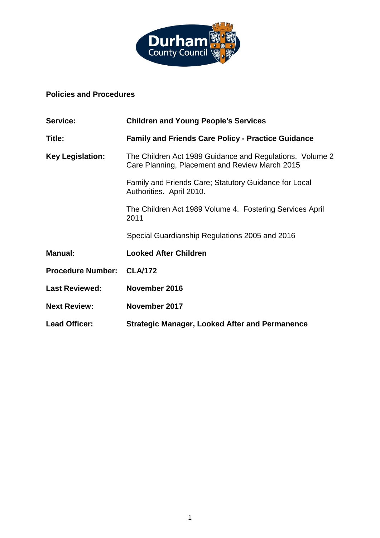

# **Policies and Procedures**

| Service:                 | <b>Children and Young People's Services</b>                                                                |
|--------------------------|------------------------------------------------------------------------------------------------------------|
| Title:                   | <b>Family and Friends Care Policy - Practice Guidance</b>                                                  |
| <b>Key Legislation:</b>  | The Children Act 1989 Guidance and Regulations. Volume 2<br>Care Planning, Placement and Review March 2015 |
|                          | Family and Friends Care; Statutory Guidance for Local<br>Authorities. April 2010.                          |
|                          | The Children Act 1989 Volume 4. Fostering Services April<br>2011                                           |
|                          | Special Guardianship Regulations 2005 and 2016                                                             |
| <b>Manual:</b>           | <b>Looked After Children</b>                                                                               |
| <b>Procedure Number:</b> | <b>CLA/172</b>                                                                                             |
| <b>Last Reviewed:</b>    | November 2016                                                                                              |
| <b>Next Review:</b>      | November 2017                                                                                              |
| <b>Lead Officer:</b>     | <b>Strategic Manager, Looked After and Permanence</b>                                                      |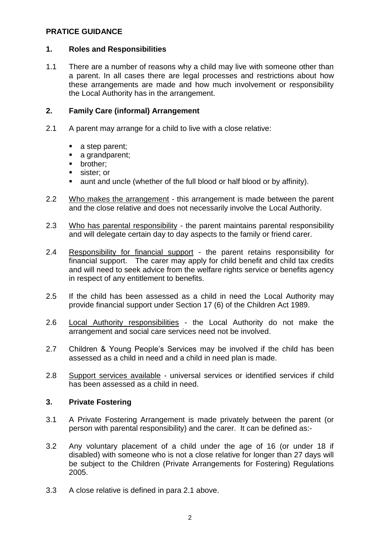## **PRATICE GUIDANCE**

## **1. Roles and Responsibilities**

1.1 There are a number of reasons why a child may live with someone other than a parent. In all cases there are legal processes and restrictions about how these arrangements are made and how much involvement or responsibility the Local Authority has in the arrangement.

## **2. Family Care (informal) Arrangement**

- 2.1 A parent may arrange for a child to live with a close relative:
	- a step parent;
	- a grandparent;
	- **•** brother;
	- sister; or
	- aunt and uncle (whether of the full blood or half blood or by affinity).
- 2.2 Who makes the arrangement this arrangement is made between the parent and the close relative and does not necessarily involve the Local Authority.
- 2.3 Who has parental responsibility the parent maintains parental responsibility and will delegate certain day to day aspects to the family or friend carer.
- 2.4 Responsibility for financial support the parent retains responsibility for financial support. The carer may apply for child benefit and child tax credits and will need to seek advice from the welfare rights service or benefits agency in respect of any entitlement to benefits.
- 2.5 If the child has been assessed as a child in need the Local Authority may provide financial support under Section 17 (6) of the Children Act 1989.
- 2.6 Local Authority responsibilities the Local Authority do not make the arrangement and social care services need not be involved.
- 2.7 Children & Young People's Services may be involved if the child has been assessed as a child in need and a child in need plan is made.
- 2.8 Support services available universal services or identified services if child has been assessed as a child in need.

## **3. Private Fostering**

- 3.1 A Private Fostering Arrangement is made privately between the parent (or person with parental responsibility) and the carer. It can be defined as:-
- 3.2 Any voluntary placement of a child under the age of 16 (or under 18 if disabled) with someone who is not a close relative for longer than 27 days will be subject to the Children (Private Arrangements for Fostering) Regulations 2005.
- 3.3 A close relative is defined in para 2.1 above.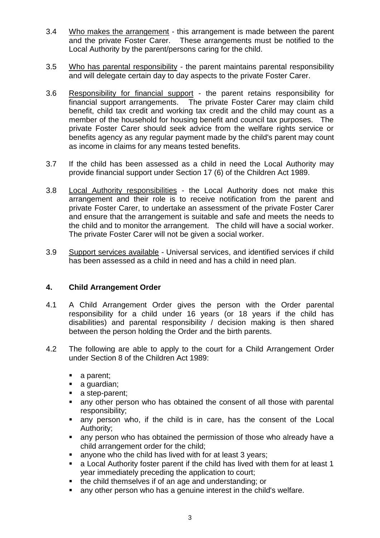- 3.4 Who makes the arrangement this arrangement is made between the parent and the private Foster Carer. These arrangements must be notified to the Local Authority by the parent/persons caring for the child.
- 3.5 Who has parental responsibility the parent maintains parental responsibility and will delegate certain day to day aspects to the private Foster Carer.
- 3.6 Responsibility for financial support the parent retains responsibility for financial support arrangements. The private Foster Carer may claim child benefit, child tax credit and working tax credit and the child may count as a member of the household for housing benefit and council tax purposes. The private Foster Carer should seek advice from the welfare rights service or benefits agency as any regular payment made by the child's parent may count as income in claims for any means tested benefits.
- 3.7 If the child has been assessed as a child in need the Local Authority may provide financial support under Section 17 (6) of the Children Act 1989.
- 3.8 Local Authority responsibilities the Local Authority does not make this arrangement and their role is to receive notification from the parent and private Foster Carer, to undertake an assessment of the private Foster Carer and ensure that the arrangement is suitable and safe and meets the needs to the child and to monitor the arrangement. The child will have a social worker. The private Foster Carer will not be given a social worker.
- 3.9 Support services available Universal services, and identified services if child has been assessed as a child in need and has a child in need plan.

## **4. Child Arrangement Order**

- 4.1 A Child Arrangement Order gives the person with the Order parental responsibility for a child under 16 years (or 18 years if the child has disabilities) and parental responsibility / decision making is then shared between the person holding the Order and the birth parents.
- 4.2 The following are able to apply to the court for a Child Arrangement Order under Section 8 of the Children Act 1989:
	- a parent:
	- a guardian;
	- a step-parent;
	- any other person who has obtained the consent of all those with parental responsibility;
	- any person who, if the child is in care, has the consent of the Local Authority;
	- any person who has obtained the permission of those who already have a child arrangement order for the child;
	- anyone who the child has lived with for at least 3 years;
	- a Local Authority foster parent if the child has lived with them for at least 1 year immediately preceding the application to court;
	- the child themselves if of an age and understanding; or
	- any other person who has a genuine interest in the child's welfare.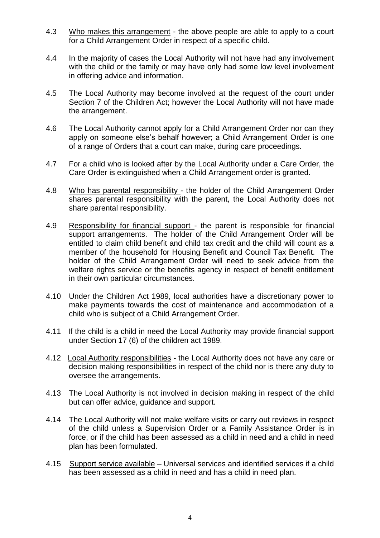- 4.3 Who makes this arrangement the above people are able to apply to a court for a Child Arrangement Order in respect of a specific child.
- 4.4 In the majority of cases the Local Authority will not have had any involvement with the child or the family or may have only had some low level involvement in offering advice and information.
- 4.5 The Local Authority may become involved at the request of the court under Section 7 of the Children Act; however the Local Authority will not have made the arrangement.
- 4.6 The Local Authority cannot apply for a Child Arrangement Order nor can they apply on someone else's behalf however; a Child Arrangement Order is one of a range of Orders that a court can make, during care proceedings.
- 4.7 For a child who is looked after by the Local Authority under a Care Order, the Care Order is extinguished when a Child Arrangement order is granted.
- 4.8 Who has parental responsibility the holder of the Child Arrangement Order shares parental responsibility with the parent, the Local Authority does not share parental responsibility.
- 4.9 Responsibility for financial support the parent is responsible for financial support arrangements. The holder of the Child Arrangement Order will be entitled to claim child benefit and child tax credit and the child will count as a member of the household for Housing Benefit and Council Tax Benefit. The holder of the Child Arrangement Order will need to seek advice from the welfare rights service or the benefits agency in respect of benefit entitlement in their own particular circumstances.
- 4.10 Under the Children Act 1989, local authorities have a discretionary power to make payments towards the cost of maintenance and accommodation of a child who is subject of a Child Arrangement Order.
- 4.11 If the child is a child in need the Local Authority may provide financial support under Section 17 (6) of the children act 1989.
- 4.12 Local Authority responsibilities the Local Authority does not have any care or decision making responsibilities in respect of the child nor is there any duty to oversee the arrangements.
- 4.13 The Local Authority is not involved in decision making in respect of the child but can offer advice, guidance and support.
- 4.14 The Local Authority will not make welfare visits or carry out reviews in respect of the child unless a Supervision Order or a Family Assistance Order is in force, or if the child has been assessed as a child in need and a child in need plan has been formulated.
- 4.15 Support service available Universal services and identified services if a child has been assessed as a child in need and has a child in need plan.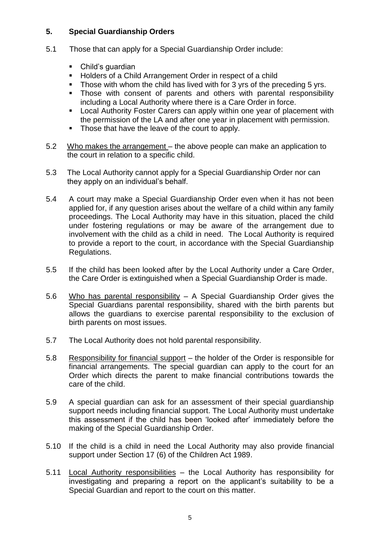# **5. Special Guardianship Orders**

- 5.1 Those that can apply for a Special Guardianship Order include:
	- Child's quardian
	- Holders of a Child Arrangement Order in respect of a child
	- Those with whom the child has lived with for 3 yrs of the preceding 5 yrs.
	- Those with consent of parents and others with parental responsibility including a Local Authority where there is a Care Order in force.
	- **EXECT** Local Authority Foster Carers can apply within one year of placement with the permission of the LA and after one year in placement with permission.
	- Those that have the leave of the court to apply.
- 5.2 Who makes the arrangement the above people can make an application to the court in relation to a specific child.
- 5.3 The Local Authority cannot apply for a Special Guardianship Order nor can they apply on an individual's behalf.
- 5.4 A court may make a Special Guardianship Order even when it has not been applied for, if any question arises about the welfare of a child within any family proceedings. The Local Authority may have in this situation, placed the child under fostering regulations or may be aware of the arrangement due to involvement with the child as a child in need. The Local Authority is required to provide a report to the court, in accordance with the Special Guardianship Regulations.
- 5.5 If the child has been looked after by the Local Authority under a Care Order, the Care Order is extinguished when a Special Guardianship Order is made.
- 5.6 Who has parental responsibility A Special Guardianship Order gives the Special Guardians parental responsibility, shared with the birth parents but allows the guardians to exercise parental responsibility to the exclusion of birth parents on most issues.
- 5.7 The Local Authority does not hold parental responsibility.
- 5.8 Responsibility for financial support the holder of the Order is responsible for financial arrangements. The special guardian can apply to the court for an Order which directs the parent to make financial contributions towards the care of the child.
- 5.9 A special guardian can ask for an assessment of their special guardianship support needs including financial support. The Local Authority must undertake this assessment if the child has been 'looked after' immediately before the making of the Special Guardianship Order.
- 5.10 If the child is a child in need the Local Authority may also provide financial support under Section 17 (6) of the Children Act 1989.
- 5.11 Local Authority responsibilities the Local Authority has responsibility for investigating and preparing a report on the applicant's suitability to be a Special Guardian and report to the court on this matter.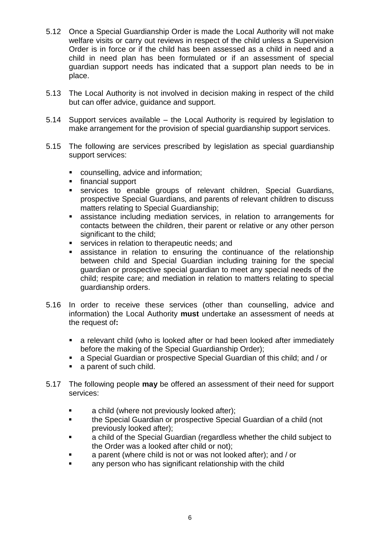- 5.12 Once a Special Guardianship Order is made the Local Authority will not make welfare visits or carry out reviews in respect of the child unless a Supervision Order is in force or if the child has been assessed as a child in need and a child in need plan has been formulated or if an assessment of special guardian support needs has indicated that a support plan needs to be in place.
- 5.13 The Local Authority is not involved in decision making in respect of the child but can offer advice, guidance and support.
- 5.14 Support services available the Local Authority is required by legislation to make arrangement for the provision of special guardianship support services.
- 5.15 The following are services prescribed by legislation as special guardianship support services:
	- counselling, advice and information;
	- financial support
	- services to enable groups of relevant children, Special Guardians, prospective Special Guardians, and parents of relevant children to discuss matters relating to Special Guardianship;
	- assistance including mediation services, in relation to arrangements for contacts between the children, their parent or relative or any other person significant to the child:
	- **EXECT:** services in relation to therapeutic needs; and
	- assistance in relation to ensuring the continuance of the relationship between child and Special Guardian including training for the special guardian or prospective special guardian to meet any special needs of the child; respite care; and mediation in relation to matters relating to special guardianship orders.
- 5.16 In order to receive these services (other than counselling, advice and information) the Local Authority **must** undertake an assessment of needs at the request of**:**
	- a relevant child (who is looked after or had been looked after immediately before the making of the Special Guardianship Order);
	- a Special Guardian or prospective Special Guardian of this child; and / or
	- a parent of such child.
- 5.17 The following people **may** be offered an assessment of their need for support services:
	- a child (where not previously looked after);
	- the Special Guardian or prospective Special Guardian of a child (not previously looked after);
	- a child of the Special Guardian (regardless whether the child subject to the Order was a looked after child or not);
	- a parent (where child is not or was not looked after); and / or
	- any person who has significant relationship with the child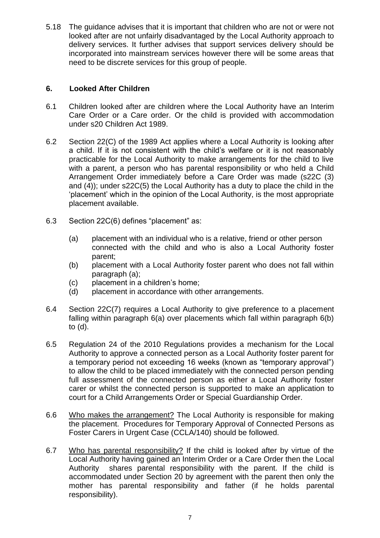5.18 The guidance advises that it is important that children who are not or were not looked after are not unfairly disadvantaged by the Local Authority approach to delivery services. It further advises that support services delivery should be incorporated into mainstream services however there will be some areas that need to be discrete services for this group of people.

## **6. Looked After Children**

- 6.1 Children looked after are children where the Local Authority have an Interim Care Order or a Care order. Or the child is provided with accommodation under s20 Children Act 1989.
- 6.2 Section 22(C) of the 1989 Act applies where a Local Authority is looking after a child. If it is not consistent with the child's welfare or it is not reasonably practicable for the Local Authority to make arrangements for the child to live with a parent, a person who has parental responsibility or who held a Child Arrangement Order immediately before a Care Order was made (s22C (3) and (4)); under s22C(5) the Local Authority has a duty to place the child in the 'placement' which in the opinion of the Local Authority, is the most appropriate placement available.
- 6.3 Section 22C(6) defines "placement" as:
	- (a) placement with an individual who is a relative, friend or other person connected with the child and who is also a Local Authority foster parent;
	- (b) placement with a Local Authority foster parent who does not fall within paragraph (a);
	- (c) placement in a children's home;
	- (d) placement in accordance with other arrangements.
- 6.4 Section 22C(7) requires a Local Authority to give preference to a placement falling within paragraph 6(a) over placements which fall within paragraph 6(b) to (d).
- 6.5 Regulation 24 of the 2010 Regulations provides a mechanism for the Local Authority to approve a connected person as a Local Authority foster parent for a temporary period not exceeding 16 weeks (known as "temporary approval") to allow the child to be placed immediately with the connected person pending full assessment of the connected person as either a Local Authority foster carer or whilst the connected person is supported to make an application to court for a Child Arrangements Order or Special Guardianship Order.
- 6.6 Who makes the arrangement? The Local Authority is responsible for making the placement. Procedures for Temporary Approval of Connected Persons as Foster Carers in Urgent Case (CCLA/140) should be followed.
- 6.7 Who has parental responsibility? If the child is looked after by virtue of the Local Authority having gained an Interim Order or a Care Order then the Local Authority shares parental responsibility with the parent. If the child is accommodated under Section 20 by agreement with the parent then only the mother has parental responsibility and father (if he holds parental responsibility).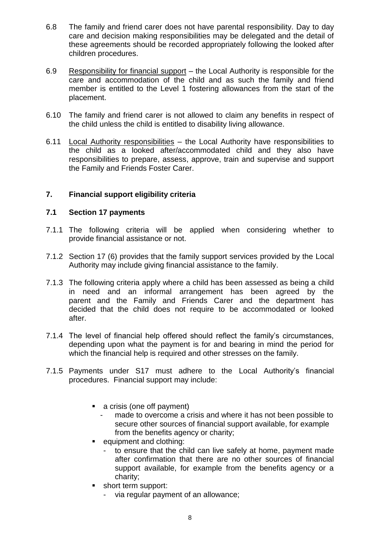- 6.8 The family and friend carer does not have parental responsibility. Day to day care and decision making responsibilities may be delegated and the detail of these agreements should be recorded appropriately following the looked after children procedures.
- 6.9 Responsibility for financial support the Local Authority is responsible for the care and accommodation of the child and as such the family and friend member is entitled to the Level 1 fostering allowances from the start of the placement.
- 6.10 The family and friend carer is not allowed to claim any benefits in respect of the child unless the child is entitled to disability living allowance.
- 6.11 Local Authority responsibilities the Local Authority have responsibilities to the child as a looked after/accommodated child and they also have responsibilities to prepare, assess, approve, train and supervise and support the Family and Friends Foster Carer.

## **7. Financial support eligibility criteria**

#### **7.1 Section 17 payments**

- 7.1.1 The following criteria will be applied when considering whether to provide financial assistance or not.
- 7.1.2 Section 17 (6) provides that the family support services provided by the Local Authority may include giving financial assistance to the family.
- 7.1.3 The following criteria apply where a child has been assessed as being a child in need and an informal arrangement has been agreed by the parent and the Family and Friends Carer and the department has decided that the child does not require to be accommodated or looked after.
- 7.1.4 The level of financial help offered should reflect the family's circumstances, depending upon what the payment is for and bearing in mind the period for which the financial help is required and other stresses on the family.
- 7.1.5 Payments under S17 must adhere to the Local Authority's financial procedures. Financial support may include:
	- a crisis (one off payment)
		- made to overcome a crisis and where it has not been possible to secure other sources of financial support available, for example from the benefits agency or charity;
	- **equipment and clothing:** 
		- to ensure that the child can live safely at home, payment made after confirmation that there are no other sources of financial support available, for example from the benefits agency or a charity;
	- **short term support:** 
		- via regular payment of an allowance;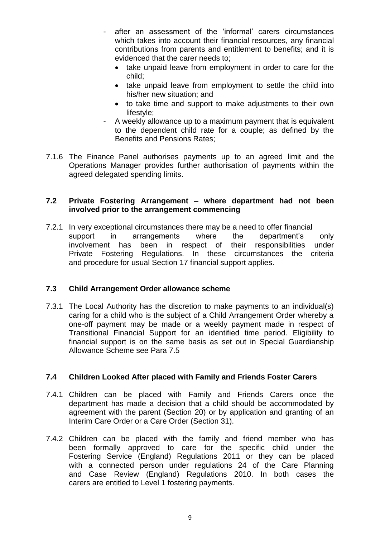- after an assessment of the 'informal' carers circumstances which takes into account their financial resources, any financial contributions from parents and entitlement to benefits; and it is evidenced that the carer needs to;
	- take unpaid leave from employment in order to care for the child;
	- take unpaid leave from employment to settle the child into his/her new situation; and
	- to take time and support to make adjustments to their own lifestyle:
- A weekly allowance up to a maximum payment that is equivalent to the dependent child rate for a couple; as defined by the Benefits and Pensions Rates;
- 7.1.6 The Finance Panel authorises payments up to an agreed limit and the Operations Manager provides further authorisation of payments within the agreed delegated spending limits.

## **7.2 Private Fostering Arrangement – where department had not been involved prior to the arrangement commencing**

7.2.1 In very exceptional circumstances there may be a need to offer financial support in arrangements where the department's only involvement has been in respect of their responsibilities under Private Fostering Regulations. In these circumstances the criteria and procedure for usual Section 17 financial support applies.

# **7.3 Child Arrangement Order allowance scheme**

7.3.1 The Local Authority has the discretion to make payments to an individual(s) caring for a child who is the subject of a Child Arrangement Order whereby a one-off payment may be made or a weekly payment made in respect of Transitional Financial Support for an identified time period. Eligibility to financial support is on the same basis as set out in Special Guardianship Allowance Scheme see Para 7.5

# **7.4 Children Looked After placed with Family and Friends Foster Carers**

- 7.4.1 Children can be placed with Family and Friends Carers once the department has made a decision that a child should be accommodated by agreement with the parent (Section 20) or by application and granting of an Interim Care Order or a Care Order (Section 31).
- 7.4.2 Children can be placed with the family and friend member who has been formally approved to care for the specific child under the Fostering Service (England) Regulations 2011 or they can be placed with a connected person under regulations 24 of the Care Planning and Case Review (England) Regulations 2010. In both cases the carers are entitled to Level 1 fostering payments.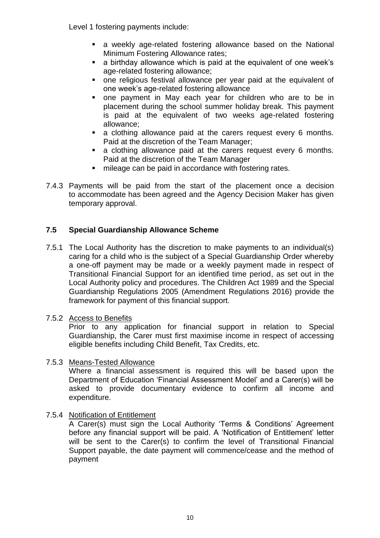Level 1 fostering payments include:

- a weekly age-related fostering allowance based on the National Minimum Fostering Allowance rates;
- a birthday allowance which is paid at the equivalent of one week's age-related fostering allowance;
- one religious festival allowance per year paid at the equivalent of one week's age-related fostering allowance
- one payment in May each year for children who are to be in placement during the school summer holiday break. This payment is paid at the equivalent of two weeks age-related fostering allowance;
- **a** clothing allowance paid at the carers request every 6 months. Paid at the discretion of the Team Manager;
- a clothing allowance paid at the carers request every 6 months. Paid at the discretion of the Team Manager
- mileage can be paid in accordance with fostering rates.
- 7.4.3 Payments will be paid from the start of the placement once a decision to accommodate has been agreed and the Agency Decision Maker has given temporary approval.

## **7.5 Special Guardianship Allowance Scheme**

7.5.1 The Local Authority has the discretion to make payments to an individual(s) caring for a child who is the subject of a Special Guardianship Order whereby a one-off payment may be made or a weekly payment made in respect of Transitional Financial Support for an identified time period, as set out in the Local Authority policy and procedures. The Children Act 1989 and the Special Guardianship Regulations 2005 (Amendment Regulations 2016) provide the framework for payment of this financial support.

## 7.5.2 Access to Benefits

Prior to any application for financial support in relation to Special Guardianship, the Carer must first maximise income in respect of accessing eligible benefits including Child Benefit, Tax Credits, etc.

## 7.5.3 Means-Tested Allowance

Where a financial assessment is required this will be based upon the Department of Education 'Financial Assessment Model' and a Carer(s) will be asked to provide documentary evidence to confirm all income and expenditure.

## 7.5.4 Notification of Entitlement

A Carer(s) must sign the Local Authority 'Terms & Conditions' Agreement before any financial support will be paid. A 'Notification of Entitlement' letter will be sent to the Carer(s) to confirm the level of Transitional Financial Support payable, the date payment will commence/cease and the method of payment